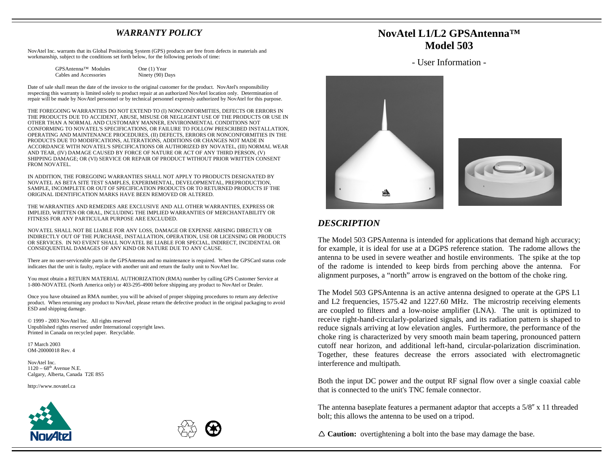### *WARRANTY POLICY*

NovAtel Inc. warrants that its Global Positioning System (GPS) products are free from defects in materials and workmanship, subject to the conditions set forth below, for the following periods of time:

| GPSAntenna™ Modules    | One (1) Year     |
|------------------------|------------------|
| Cables and Accessories | Ninety (90) Days |

Date of sale shall mean the date of the invoice to the original customer for the product. NovAtel's responsibility respecting this warranty is limited solely to product repair at an authorized NovAtel location only. Determination of repair will be made by NovAtel personnel or by technical personnel expressly authorized by NovAtel for this purpose.

THE FOREGOING WARRANTIES DO NOT EXTEND TO (I) NONCONFORMITIES, DEFECTS OR ERRORS IN THE PRODUCTS DUE TO ACCIDENT, ABUSE, MISUSE OR NEGLIGENT USE OF THE PRODUCTS OR USE IN OTHER THAN A NORMAL AND CUSTOMARY MANNER, ENVIRONMENTAL CONDITIONS NOT CONFORMING TO NOVATEL'S SPECIFICATIONS, OR FAILURE TO FOLLOW PRESCRIBED INSTALLATION, OPERATING AND MAINTENANCE PROCEDURES, (II) DEFECTS, ERRORS OR NONCONFORMITIES IN THE PRODUCTS DUE TO MODIFICATIONS, ALTERATIONS, ADDITIONS OR CHANGES NOT MADE IN ACCORDANCE WITH NOVATEL'S SPECIFICATIONS OR AUTHORIZED BY NOVATEL, (III) NORMAL WEAR AND TEAR, (IV) DAMAGE CAUSED BY FORCE OF NATURE OR ACT OF ANY THIRD PERSON, (V) SHIPPING DAMAGE; OR (VI) SERVICE OR REPAIR OF PRODUCT WITHOUT PRIOR WRITTEN CONSENT FROM NOVATEL.

IN ADDITION, THE FOREGOING WARRANTIES SHALL NOT APPLY TO PRODUCTS DESIGNATED BY NOVATEL AS BETA SITE TEST SAMPLES, EXPERIMENTAL, DEVELOPMENTAL, PREPRODUCTION, SAMPLE, INCOMPLETE OR OUT OF SPECIFICATION PRODUCTS OR TO RETURNED PRODUCTS IF THE ORIGINAL IDENTIFICATION MARKS HAVE BEEN REMOVED OR ALTERED.

THE WARRANTIES AND REMEDIES ARE EXCLUSIVE AND ALL OTHER WARRANTIES, EXPRESS OR IMPLIED, WRITTEN OR ORAL, INCLUDING THE IMPLIED WARRANTIES OF MERCHANTABILITY OR FITNESS FOR ANY PARTICULAR PURPOSE ARE EXCLUDED.

NOVATEL SHALL NOT BE LIABLE FOR ANY LOSS, DAMAGE OR EXPENSE ARISING DIRECTLY OR INDIRECTLY OUT OF THE PURCHASE, INSTALLATION, OPERATION, USE OR LICENSING OR PRODUCTS OR SERVICES. IN NO EVENT SHALL NOVATEL BE LIABLE FOR SPECIAL, INDIRECT, INCIDENTAL OR CONSEQUENTIAL DAMAGES OF ANY KIND OR NATURE DUE TO ANY CAUSE.

There are no user-serviceable parts in the GPSAntenna and no maintenance is required. When the GPSCard status code indicates that the unit is faulty, replace with another unit and return the faulty unit to NovAtel Inc.

You must obtain a RETURN MATERIAL AUTHORIZATION (RMA) number by calling GPS Customer Service at 1-800-NOVATEL (North America only) or 403-295-4900 before shipping any product to NovAtel or Dealer.

Once you have obtained an RMA number, you will be advised of proper shipping procedures to return any defective product. When returning any product to NovAtel, please return the defective product in the original packaging to avoid ESD and shipping damage.

© 1999 - 2003 NovAtel Inc. All rights reserved Unpublished rights reserved under International copyright laws. Printed in Canada on recycled paper. Recyclable.

17 March 2003 OM-20000018 Rev. 4

NovAtel Inc.  $1120 - 68$ <sup>th</sup> Avenue N.E. Calgary, Alberta, Canada T2E 8S5

http://www.novatel.ca





## **NovAtel L1/L2 GPSAntenna™ Model 503**

- User Information -



## *DESCRIPTION*

The Model 503 GPSAntenna is intended for applications that demand high accuracy; for example, it is ideal for use at a DGPS reference station. The radome allows the antenna to be used in severe weather and hostile environments. The spike at the top of the radome is intended to keep birds from perching above the antenna. For alignment purposes, a "north" arrow is engraved on the bottom of the choke ring.

The Model 503 GPSAntenna is an active antenna designed to operate at the GPS L1 and L2 frequencies, 1575.42 and 1227.60 MHz. The microstrip receiving elements are coupled to filters and a low-noise amplifier (LNA). The unit is optimized to receive right-hand-circularly-polarized signals, and its radiation pattern is shaped to reduce signals arriving at low elevation angles. Furthermore, the performance of the choke ring is characterized by very smooth main beam tapering, pronounced pattern cutoff near horizon, and additional left-hand, circular-polarization discrimination. Together, these features decrease the errors associated with electromagnetic interference and multipath.

Both the input DC power and the output RF signal flow over a single coaxial cable that is connected to the unit's TNC female connector.

The antenna baseplate features a permanent adaptor that accepts a  $5/8$ " x 11 threaded bolt; this allows the antenna to be used on a tripod.

 $\triangle$  **Caution:** overtightening a bolt into the base may damage the base.